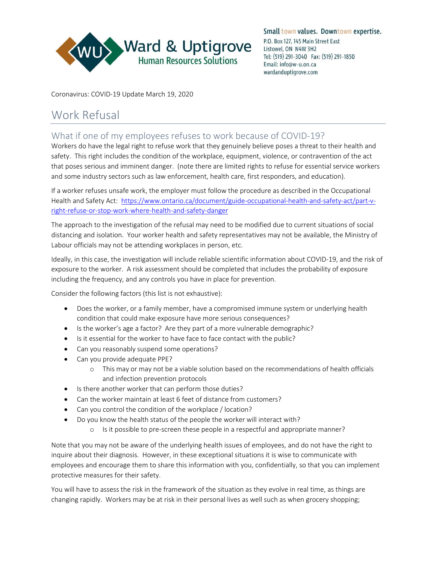

Small town values. Downtown expertise. P.O. Box 127, 145 Main Street East Listowel, ON N4W 3H2 Tel: (519) 291-3040 Fax: (519) 291-1850 Email: info@w-u.on.ca wardanduptigrove.com

Coronavirus: COVID-19 Update March 19, 2020

## Work Refusal

What if one of my employees refuses to work because of COVID-19?

Workers do have the legal right to refuse work that they genuinely believe poses a threat to their health and safety. This right includes the condition of the workplace, equipment, violence, or contravention of the act that poses serious and imminent danger. (note there are limited rights to refuse for essential service workers and some industry sectors such as law enforcement, health care, first responders, and education).

If a worker refuses unsafe work, the employer must follow the procedure as described in the Occupational Health and Safety Act: [https://www.ontario.ca/document/guide-occupational-health-and-safety-act/part-v](https://www.ontario.ca/document/guide-occupational-health-and-safety-act/part-v-right-refuse-or-stop-work-where-health-and-safety-danger)[right-refuse-or-stop-work-where-health-and-safety-danger](https://www.ontario.ca/document/guide-occupational-health-and-safety-act/part-v-right-refuse-or-stop-work-where-health-and-safety-danger)

The approach to the investigation of the refusal may need to be modified due to current situations of social distancing and isolation. Your worker health and safety representatives may not be available, the Ministry of Labour officials may not be attending workplaces in person, etc.

Ideally, in this case, the investigation will include reliable scientific information about COVID-19, and the risk of exposure to the worker. A risk assessment should be completed that includes the probability of exposure including the frequency, and any controls you have in place for prevention.

Consider the following factors (this list is not exhaustive):

- Does the worker, or a family member, have a compromised immune system or underlying health condition that could make exposure have more serious consequences?
- Is the worker's age a factor? Are they part of a more vulnerable demographic?
- Is it essential for the worker to have face to face contact with the public?
- Can you reasonably suspend some operations?
- Can you provide adequate PPE?
	- o This may or may not be a viable solution based on the recommendations of health officials and infection prevention protocols
- Is there another worker that can perform those duties?
- Can the worker maintain at least 6 feet of distance from customers?
- Can you control the condition of the workplace / location?
- Do you know the health status of the people the worker will interact with?
	- o Is it possible to pre-screen these people in a respectful and appropriate manner?

Note that you may not be aware of the underlying health issues of employees, and do not have the right to inquire about their diagnosis. However, in these exceptional situations it is wise to communicate with employees and encourage them to share this information with you, confidentially, so that you can implement protective measures for their safety.

You will have to assess the risk in the framework of the situation as they evolve in real time, as things are changing rapidly. Workers may be at risk in their personal lives as well such as when grocery shopping;